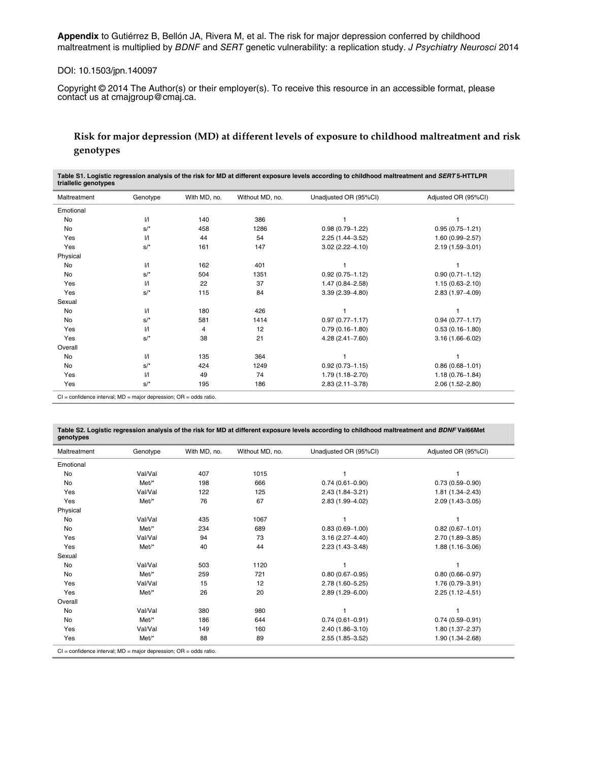**Appendix** to Gutiérrez B, Bellón JA, Rivera M, et al. The risk for major depression conferred by childhood maltreatment is multiplied by BDNF and SERT genetic vulnerability: a replication study. J Psychiatry Neurosci 2014

### DOI: 10.1503/jpn.140097

Copyright © 2014 The Author(s) or their employer(s). To receive this resource in an accessible format, please contact us at cmajgroup@cmaj.ca.

# **Risk for major depression (MD) at different levels of exposure to childhood maltreatment and risk genotypes**

**Table S1. Logistic regression analysis of the risk for MD at different exposure levels according to childhood maltreatment and** *SERT* **5-HTTLPR triallelic genotypes** 

| Maltreatment | Genotype          | With MD, no. | Without MD, no. | Unadjusted OR (95%CI) | Adjusted OR (95%CI) |
|--------------|-------------------|--------------|-----------------|-----------------------|---------------------|
| Emotional    |                   |              |                 |                       |                     |
| <b>No</b>    | $\mathcal{U}$     | 140          | 386             |                       |                     |
| <b>No</b>    | $S/$ <sup>*</sup> | 458          | 1286            | $0.98(0.79 - 1.22)$   | $0.95(0.75 - 1.21)$ |
| Yes          | $\mathcal{U}$     | 44           | 54              | $2.25(1.44 - 3.52)$   | $1.60(0.99 - 2.57)$ |
| Yes          | $S/$ <sup>*</sup> | 161          | 147             | $3.02(2.22 - 4.10)$   | $2.19(1.59 - 3.01)$ |
| Physical     |                   |              |                 |                       |                     |
| No           | $\sqrt{ }$        | 162          | 401             |                       |                     |
| No           | $S/$ <sup>*</sup> | 504          | 1351            | $0.92(0.75 - 1.12)$   | $0.90(0.71 - 1.12)$ |
| Yes          | $\mathcal{U}$     | 22           | 37              | 1.47 (0.84-2.58)      | $1.15(0.63 - 2.10)$ |
| Yes          | $S/$ <sup>*</sup> | 115          | 84              | $3.39(2.39 - 4.80)$   | $2.83(1.97 - 4.09)$ |
| Sexual       |                   |              |                 |                       |                     |
| No           | $\mathcal{U}$     | 180          | 426             |                       |                     |
| No           | $S/$ <sup>*</sup> | 581          | 1414            | $0.97(0.77 - 1.17)$   | $0.94(0.77 - 1.17)$ |
| Yes          | $\mathcal{U}$     | 4            | 12              | $0.79(0.16 - 1.80)$   | $0.53(0.16 - 1.80)$ |
| Yes          | $S/$ <sup>*</sup> | 38           | 21              | $4.28(2.41 - 7.60)$   | $3.16(1.66 - 6.02)$ |
| Overall      |                   |              |                 |                       |                     |
| No           | $\sqrt{ }$        | 135          | 364             |                       |                     |
| No           | $S/$ <sup>*</sup> | 424          | 1249            | $0.92(0.73 - 1.15)$   | $0.86(0.68 - 1.01)$ |
| Yes          | $\mathcal{U}$     | 49           | 74              | 1.79 (1.18-2.70)      | $1.18(0.76 - 1.84)$ |
| Yes          | $S/$ <sup>*</sup> | 195          | 186             | $2.83(2.11 - 3.78)$   | $2.06(1.52 - 2.80)$ |

CI = confidence interval; MD = major depression; OR = odds ratio.

| Maltreatment | Genotype | With MD, no. | Without MD, no. | Unadjusted OR (95%CI) | Adjusted OR (95%CI) |
|--------------|----------|--------------|-----------------|-----------------------|---------------------|
| Emotional    |          |              |                 |                       |                     |
| No           | Val/Val  | 407          | 1015            |                       |                     |
| <b>No</b>    | $Met/*$  | 198          | 666             | $0.74(0.61 - 0.90)$   | $0.73(0.59 - 0.90)$ |
| Yes          | Val/Val  | 122          | 125             | $2.43(1.84 - 3.21)$   | $1.81(1.34 - 2.43)$ |
| Yes          | Met/*    | 76           | 67              | 2.83 (1.99-4.02)      | $2.09(1.43 - 3.05)$ |
| Physical     |          |              |                 |                       |                     |
| No           | Val/Val  | 435          | 1067            |                       |                     |
| No           | Met/*    | 234          | 689             | $0.83(0.69 - 1.00)$   | $0.82(0.67 - 1.01)$ |
| Yes          | Val/Val  | 94           | 73              | $3.16(2.27 - 4.40)$   | $2.70(1.89 - 3.85)$ |
| Yes          | Met/*    | 40           | 44              | $2.23(1.43 - 3.48)$   | $1.88(1.16 - 3.06)$ |
| Sexual       |          |              |                 |                       |                     |
| No           | Val/Val  | 503          | 1120            |                       |                     |
| <b>No</b>    | Met/*    | 259          | 721             | $0.80(0.67 - 0.95)$   | $0.80(0.66 - 0.97)$ |
| Yes          | Val/Val  | 15           | 12              | 2.78 (1.60-5.25)      | 1.76 (0.79-3.91)    |
| Yes          | $Met'^*$ | 26           | 20              | $2.89(1.29 - 6.00)$   | $2.25(1.12 - 4.51)$ |
| Overall      |          |              |                 |                       |                     |
| No           | Val/Val  | 380          | 980             |                       |                     |
| <b>No</b>    | Met/*    | 186          | 644             | $0.74(0.61 - 0.91)$   | $0.74(0.59 - 0.91)$ |
| Yes          | Val/Val  | 149          | 160             | $2.40(1.86 - 3.10)$   | $1.80(1.37 - 2.37)$ |
| Yes          | $Met'^*$ | 88           | 89              | $2.55(1.85 - 3.52)$   | 1.90 (1.34-2.68)    |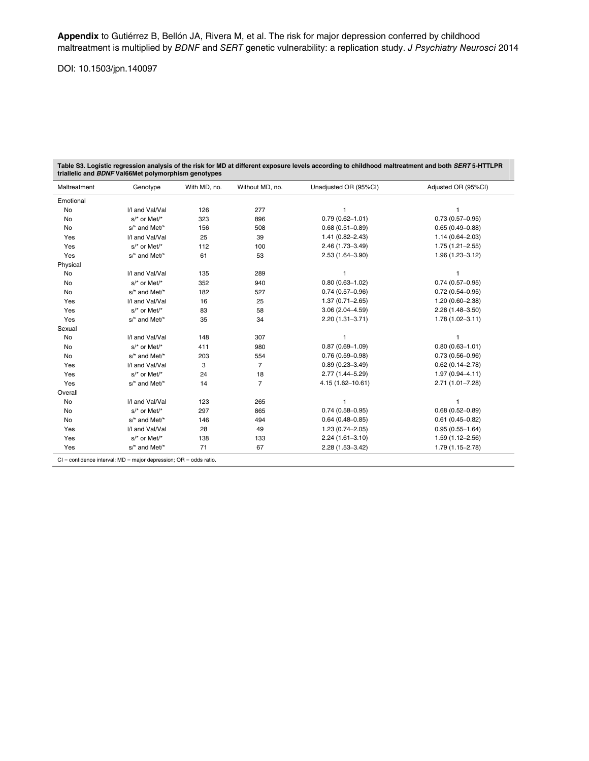# DOI: 10.1503/jpn.140097

Table S3. Logistic regression analysis of the risk for MD at different exposure levels according to childhood maltreatment and both *SERT* 5-HTTLPR<br>triallelic and *BDNF* Val66Met polymorphism genotypes

| Maltreatment | Genotype         | With MD, no. | Without MD, no. | Unadjusted OR (95%CI) | Adjusted OR (95%CI) |
|--------------|------------------|--------------|-----------------|-----------------------|---------------------|
| Emotional    |                  |              |                 |                       |                     |
| <b>No</b>    | I/I and Val/Val  | 126          | 277             |                       |                     |
| No           | s/* or Met/*     | 323          | 896             | $0.79(0.62 - 1.01)$   | $0.73(0.57-0.95)$   |
| No           | $s$ and Met/*    | 156          | 508             | $0.68(0.51 - 0.89)$   | $0.65(0.49 - 0.88)$ |
| Yes          | I/I and Val/Val  | 25           | 39              | $1.41(0.82 - 2.43)$   | $1.14(0.64 - 2.03)$ |
| Yes          | s/* or Met/*     | 112          | 100             | 2.46 (1.73-3.49)      | $1.75(1.21 - 2.55)$ |
| Yes          | s/* and Met/*    | 61           | 53              | 2.53 (1.64-3.90)      | $1.96(1.23 - 3.12)$ |
| Physical     |                  |              |                 |                       |                     |
| No           | I/I and Val/Val  | 135          | 289             |                       |                     |
| No           | s/* or Met/*     | 352          | 940             | $0.80(0.63 - 1.02)$   | $0.74(0.57-0.95)$   |
| <b>No</b>    | s/* and Met/*    | 182          | 527             | $0.74(0.57-0.96)$     | $0.72(0.54 - 0.95)$ |
| Yes          | I/I and Val/Val  | 16           | 25              | $1.37(0.71 - 2.65)$   | $1.20(0.60 - 2.38)$ |
| Yes          | s/* or Met/*     | 83           | 58              | $3.06(2.04 - 4.59)$   | $2.28(1.48 - 3.50)$ |
| Yes          | s/* and Met/*    | 35           | 34              | $2.20(1.31 - 3.71)$   | $1.78(1.02 - 3.11)$ |
| Sexual       |                  |              |                 |                       |                     |
| <b>No</b>    | I/I and Val/Val  | 148          | 307             |                       | 1                   |
| <b>No</b>    | s/* or Met/*     | 411          | 980             | $0.87(0.69 - 1.09)$   | $0.80(0.63 - 1.01)$ |
| No           | $s$ /* and Met/* | 203          | 554             | $0.76(0.59 - 0.98)$   | $0.73(0.56 - 0.96)$ |
| Yes          | I/I and Val/Val  | 3            | $\overline{7}$  | $0.89(0.23 - 3.49)$   | $0.62(0.14 - 2.78)$ |
| Yes          | s/* or Met/*     | 24           | 18              | 2.77 (1.44-5.29)      | $1.97(0.94 - 4.11)$ |
| Yes          | s/* and Met/*    | 14           | $\overline{7}$  | 4.15 (1.62-10.61)     | $2.71(1.01 - 7.28)$ |
| Overall      |                  |              |                 |                       |                     |
| No           | I/I and Val/Val  | 123          | 265             |                       | 1                   |
| No           | $s$ /* or Met/*  | 297          | 865             | $0.74(0.58 - 0.95)$   | $0.68(0.52 - 0.89)$ |
| No           | s/* and Met/*    | 146          | 494             | $0.64(0.48 - 0.85)$   | $0.61(0.45 - 0.82)$ |
| Yes          | I/I and Val/Val  | 28           | 49              | $1.23(0.74 - 2.05)$   | $0.95(0.55 - 1.64)$ |
| Yes          | s/* or Met/*     | 138          | 133             | $2.24(1.61 - 3.10)$   | $1.59(1.12 - 2.56)$ |
| Yes          | s/* and Met/*    | 71           | 67              | $2.28(1.53 - 3.42)$   | 1.79 (1.15-2.78)    |

CI = confidence interval; MD = major depression; OR = odds ratio.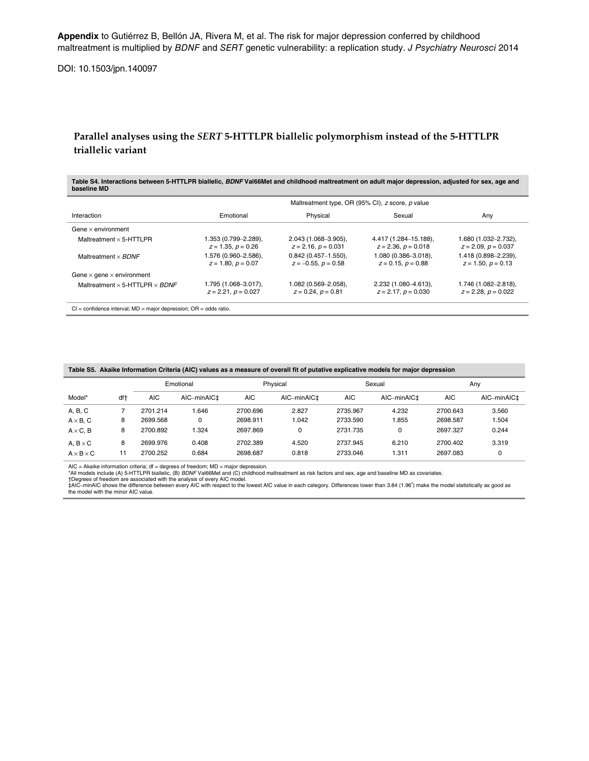**Appendix** to Gutiérrez B, Bellón JA, Rivera M, et al. The risk for major depression conferred by childhood maltreatment is multiplied by BDNF and SERT genetic vulnerability: a replication study. J Psychiatry Neurosci 2014

DOI: 10.1503/jpn.140097

# **Parallel analyses using the** *SERT* **5-HTTLPR biallelic polymorphism instead of the 5-HTTLPR triallelic variant**

**Table S4. Interactions between 5-HTTLPR biallelic,** *BDNF* **Val66Met and childhood maltreatment on adult major depression, adjusted for sex, age and baseline MD** 

|                                              | Maltreatment type, OR (95% CI), z score, p value |                                                   |                                                  |                                                  |  |  |
|----------------------------------------------|--------------------------------------------------|---------------------------------------------------|--------------------------------------------------|--------------------------------------------------|--|--|
| Interaction                                  | Emotional                                        | Physical                                          | Sexual                                           | Any                                              |  |  |
| Gene $\times$ environment                    |                                                  |                                                   |                                                  |                                                  |  |  |
| Maltreatment $\times$ 5-HTTLPR               | .353 (0.799–2.289),<br>$z = 1.35, p = 0.26$      | $2.043(1.068 - 3.905)$ ,<br>$z = 2.16, p = 0.031$ | 4.417 (1.284-15.188),<br>$z = 2.36, p = 0.018$   | 1.680 (1.032-2.732),<br>$z = 2.09, p = 0.037$    |  |  |
| Maltreatment $\times$ BDNF                   | .576 (0.960–2.586),<br>$z = 1.80, p = 0.07$      | $0.842$ (0.457-1.550),<br>$z = -0.55, p = 0.58$   | 1.080 (0.386-3.018),<br>$z = 0.15, p = 0.88$     | 1.418 (0.898-2.239),<br>$z = 1.50, p = 0.13$     |  |  |
| Gene $\times$ gene $\times$ environment      |                                                  |                                                   |                                                  |                                                  |  |  |
| Maltreatment $\times$ 5-HTTLPR $\times$ BDNF | 1.795 (1.068–3.017),<br>$z = 2.21$ , $p = 0.027$ | 1.082 (0.569–2.058),<br>$z = 0.24$ , $p = 0.81$   | 2.232 (1.080-4.613),<br>$z = 2.17$ , $p = 0.030$ | 1.746 (1.082-2.818),<br>$z = 2.28$ , $p = 0.022$ |  |  |
|                                              |                                                  |                                                   |                                                  |                                                  |  |  |

CI = confidence interval; MD = major depression; OR = odds ratio.

|                       |     | Emotional  |                         | Physical   |                         | Sexual     |                         | Any        |                         |
|-----------------------|-----|------------|-------------------------|------------|-------------------------|------------|-------------------------|------------|-------------------------|
| Model*                | df† | <b>AIC</b> | AIC-minAIC <sup>+</sup> | <b>AIC</b> | AIC-minAIC <sup>+</sup> | <b>AIC</b> | AIC-minAIC <sup>+</sup> | <b>AIC</b> | AIC-minAIC <sup>+</sup> |
| A, B, C               |     | 2701.214   | .646                    | 2700.696   | 2.827                   | 2735.967   | 4.232                   | 2700.643   | 3.560                   |
| $A \times B$ , C      | 8   | 2699.568   | 0                       | 2698.911   | 1.042                   | 2733.590   | 1.855                   | 2698.587   | 1.504                   |
| $A \times C$ , B      | 8   | 2700.892   | .324                    | 2697.869   | 0                       | 2731.735   | $\mathbf 0$             | 2697.327   | 0.244                   |
| A, $B \times C$       | 8   | 2699.976   | 0.408                   | 2702.389   | 4.520                   | 2737.945   | 6.210                   | 2700.402   | 3.319                   |
| $A \times B \times C$ |     | 2700.252   | 0.684                   | 2698.687   | 0.818                   | 2733.046   | 1.311                   | 2697.083   | υ                       |

AIC = Akaike information criteria; df = degrees of freedom; MD = major depression.<br>\*All models include (A) 5-HTTLPR biallelic, (B) *BDNF* Val66Met and (C) childhood maltreatment as risk factors and sex, age and baseline MD

†Degrees of freedom are associated with the analysis of every AIC model.<br>‡AIC–minAIC shows the difference between every AIC with respect to the lowest AIC value in each category. Differences lower than 3.84 (1.96°) make th the model with the minor AIC value.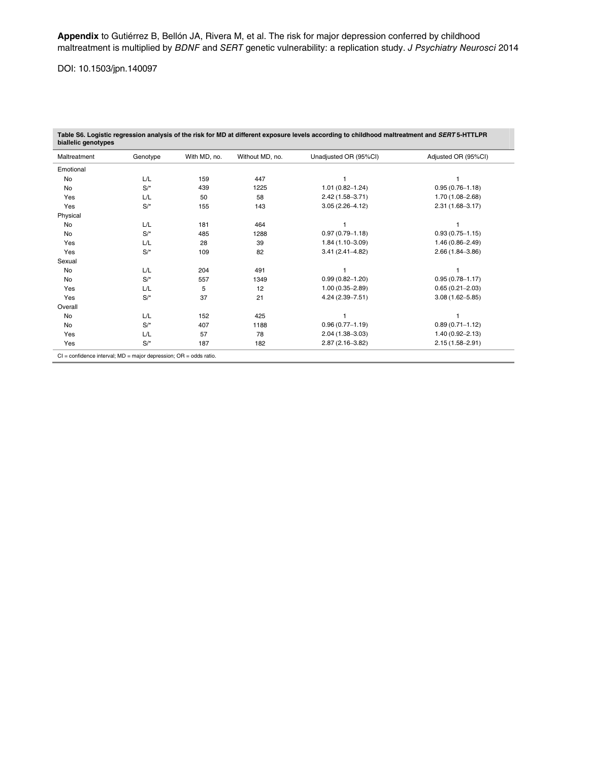# DOI: 10.1503/jpn.140097

| Maltreatment | Genotype | With MD, no. | Without MD, no. | Unadjusted OR (95%CI) | Adjusted OR (95%CI) |
|--------------|----------|--------------|-----------------|-----------------------|---------------------|
| Emotional    |          |              |                 |                       |                     |
| No           | L/L      | 159          | 447             |                       |                     |
| No           | $S/*$    | 439          | 1225            | $1.01(0.82 - 1.24)$   | $0.95(0.76 - 1.18)$ |
| Yes          | L/L      | 50           | 58              | $2.42(1.58 - 3.71)$   | $1.70(1.08 - 2.68)$ |
| Yes          | $S/*$    | 155          | 143             | $3.05(2.26 - 4.12)$   | $2.31(1.68 - 3.17)$ |
| Physical     |          |              |                 |                       |                     |
| No           | L/L      | 181          | 464             |                       |                     |
| No           | $S/*$    | 485          | 1288            | $0.97(0.79 - 1.18)$   | $0.93(0.75 - 1.15)$ |
| Yes          | L/L      | 28           | 39              | $1.84(1.10 - 3.09)$   | $1.46(0.86 - 2.49)$ |
| Yes          | $S/*$    | 109          | 82              | $3.41(2.41 - 4.82)$   | $2.66(1.84 - 3.86)$ |
| Sexual       |          |              |                 |                       |                     |
| No           | L/L      | 204          | 491             |                       |                     |
| No           | $S/*$    | 557          | 1349            | $0.99(0.82 - 1.20)$   | $0.95(0.78 - 1.17)$ |
| Yes          | L/L      | 5            | 12              | $1.00(0.35 - 2.89)$   | $0.65(0.21 - 2.03)$ |
| Yes          | $S/*$    | 37           | 21              | $4.24(2.39 - 7.51)$   | $3.08(1.62 - 5.85)$ |
| Overall      |          |              |                 |                       |                     |
| <b>No</b>    | L/L      | 152          | 425             |                       |                     |
| No           | $S/*$    | 407          | 1188            | $0.96(0.77 - 1.19)$   | $0.89(0.71 - 1.12)$ |
| Yes          | L/L      | 57           | 78              | $2.04(1.38 - 3.03)$   | $1.40(0.92 - 2.13)$ |
| Yes          | $S/*$    | 187          | 182             | $2.87(2.16 - 3.82)$   | $2.15(1.58 - 2.91)$ |

**Table S6. Logistic regression analysis of the risk for MD at different exposure levels according to childhood maltreatment and** *SERT* **5-HTTLPR** 

CI = confidence interval; MD = major depression; OR = odds ratio.